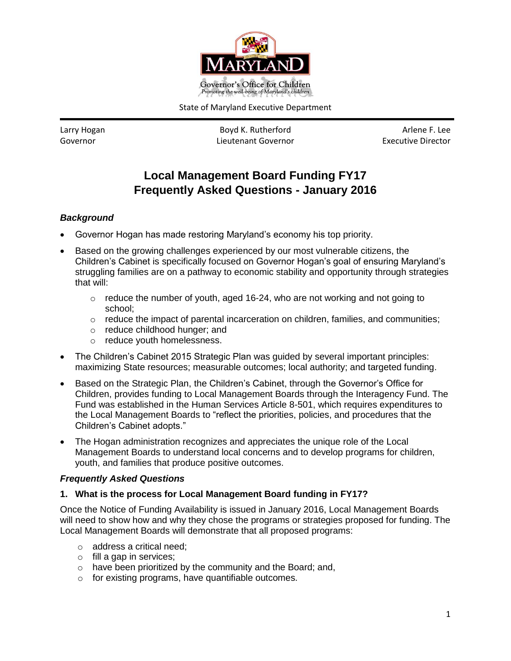

State of Maryland Executive Department

Larry Hogan **Boyd K. Rutherford Boyd K. Rutherford** Arlene F. Lee Governor Lieutenant Governor Executive Director

# **Local Management Board Funding FY17 Frequently Asked Questions - January 2016**

## *Background*

- Governor Hogan has made restoring Maryland's economy his top priority.
- Based on the growing challenges experienced by our most vulnerable citizens, the Children's Cabinet is specifically focused on Governor Hogan's goal of ensuring Maryland's struggling families are on a pathway to economic stability and opportunity through strategies that will:
	- o reduce the number of youth, aged 16-24, who are not working and not going to school;
	- $\circ$  reduce the impact of parental incarceration on children, families, and communities;
	- o reduce childhood hunger; and
	- o reduce youth homelessness.
- The Children's Cabinet 2015 Strategic Plan was guided by several important principles: maximizing State resources; measurable outcomes; local authority; and targeted funding.
- Based on the Strategic Plan, the Children's Cabinet, through the Governor's Office for Children, provides funding to Local Management Boards through the Interagency Fund. The Fund was established in the Human Services Article 8-501, which requires expenditures to the Local Management Boards to "reflect the priorities, policies, and procedures that the Children's Cabinet adopts."
- The Hogan administration recognizes and appreciates the unique role of the Local Management Boards to understand local concerns and to develop programs for children, youth, and families that produce positive outcomes.

## *Frequently Asked Questions*

## **1. What is the process for Local Management Board funding in FY17?**

Once the Notice of Funding Availability is issued in January 2016, Local Management Boards will need to show how and why they chose the programs or strategies proposed for funding. The Local Management Boards will demonstrate that all proposed programs:

- o address a critical need;
- $\circ$  fill a gap in services;
- o have been prioritized by the community and the Board; and,
- o for existing programs, have quantifiable outcomes.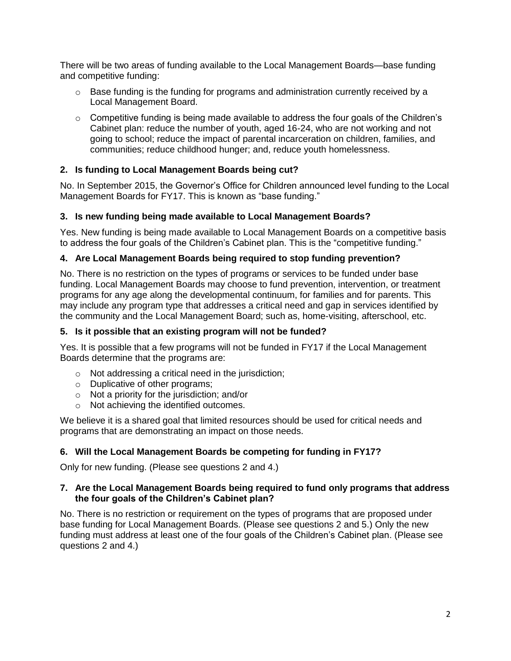There will be two areas of funding available to the Local Management Boards—base funding and competitive funding:

- o Base funding is the funding for programs and administration currently received by a Local Management Board.
- $\circ$  Competitive funding is being made available to address the four goals of the Children's Cabinet plan: reduce the number of youth, aged 16-24, who are not working and not going to school; reduce the impact of parental incarceration on children, families, and communities; reduce childhood hunger; and, reduce youth homelessness.

## **2. Is funding to Local Management Boards being cut?**

No. In September 2015, the Governor's Office for Children announced level funding to the Local Management Boards for FY17. This is known as "base funding."

## **3. Is new funding being made available to Local Management Boards?**

Yes. New funding is being made available to Local Management Boards on a competitive basis to address the four goals of the Children's Cabinet plan. This is the "competitive funding."

## **4. Are Local Management Boards being required to stop funding prevention?**

No. There is no restriction on the types of programs or services to be funded under base funding. Local Management Boards may choose to fund prevention, intervention, or treatment programs for any age along the developmental continuum, for families and for parents. This may include any program type that addresses a critical need and gap in services identified by the community and the Local Management Board; such as, home-visiting, afterschool, etc.

## **5. Is it possible that an existing program will not be funded?**

Yes. It is possible that a few programs will not be funded in FY17 if the Local Management Boards determine that the programs are:

- o Not addressing a critical need in the jurisdiction;
- o Duplicative of other programs;
- o Not a priority for the jurisdiction; and/or
- o Not achieving the identified outcomes.

We believe it is a shared goal that limited resources should be used for critical needs and programs that are demonstrating an impact on those needs.

## **6. Will the Local Management Boards be competing for funding in FY17?**

Only for new funding. (Please see questions 2 and 4.)

## **7. Are the Local Management Boards being required to fund only programs that address the four goals of the Children's Cabinet plan?**

No. There is no restriction or requirement on the types of programs that are proposed under base funding for Local Management Boards. (Please see questions 2 and 5.) Only the new funding must address at least one of the four goals of the Children's Cabinet plan. (Please see questions 2 and 4.)